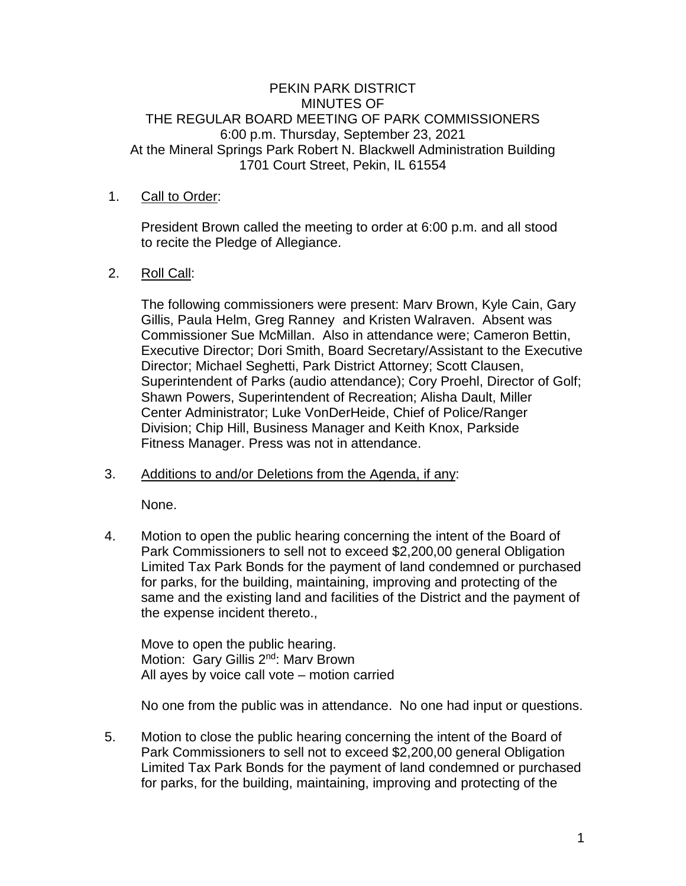### PEKIN PARK DISTRICT MINUTES OF THE REGULAR BOARD MEETING OF PARK COMMISSIONERS 6:00 p.m. Thursday, September 23, 2021 At the Mineral Springs Park Robert N. Blackwell Administration Building 1701 Court Street, Pekin, IL 61554

### 1. Call to Order:

President Brown called the meeting to order at 6:00 p.m. and all stood to recite the Pledge of Allegiance.

### 2. Roll Call:

The following commissioners were present: Marv Brown, Kyle Cain, Gary Gillis, Paula Helm, Greg Ranney and Kristen Walraven. Absent was Commissioner Sue McMillan. Also in attendance were; Cameron Bettin, Executive Director; Dori Smith, Board Secretary/Assistant to the Executive Director; Michael Seghetti, Park District Attorney; Scott Clausen, Superintendent of Parks (audio attendance); Cory Proehl, Director of Golf; Shawn Powers, Superintendent of Recreation; Alisha Dault, Miller Center Administrator; Luke VonDerHeide, Chief of Police/Ranger Division; Chip Hill, Business Manager and Keith Knox, Parkside Fitness Manager. Press was not in attendance.

### 3. Additions to and/or Deletions from the Agenda, if any:

None.

4. Motion to open the public hearing concerning the intent of the Board of Park Commissioners to sell not to exceed \$2,200,00 general Obligation Limited Tax Park Bonds for the payment of land condemned or purchased for parks, for the building, maintaining, improving and protecting of the same and the existing land and facilities of the District and the payment of the expense incident thereto.,

Move to open the public hearing. Motion: Gary Gillis 2<sup>nd</sup>: Marv Brown All ayes by voice call vote – motion carried

No one from the public was in attendance. No one had input or questions.

5. Motion to close the public hearing concerning the intent of the Board of Park Commissioners to sell not to exceed \$2,200,00 general Obligation Limited Tax Park Bonds for the payment of land condemned or purchased for parks, for the building, maintaining, improving and protecting of the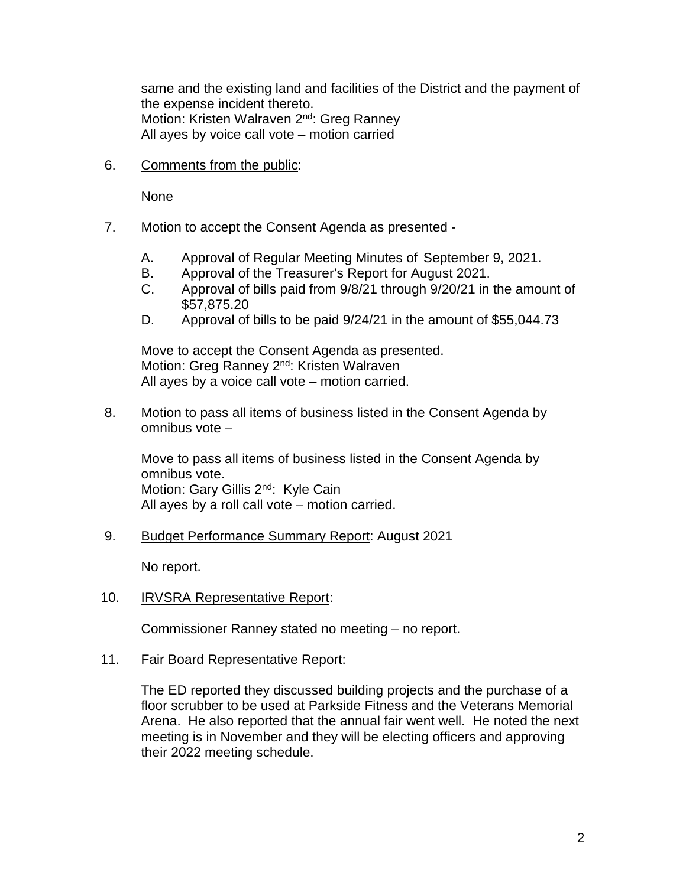same and the existing land and facilities of the District and the payment of the expense incident thereto. Motion: Kristen Walraven 2<sup>nd</sup>: Greg Ranney All ayes by voice call vote – motion carried

6. Comments from the public:

None

- 7. Motion to accept the Consent Agenda as presented
	- A. Approval of Regular Meeting Minutes of September 9, 2021.
	- B. Approval of the Treasurer's Report for August 2021.
	- C. Approval of bills paid from 9/8/21 through 9/20/21 in the amount of \$57,875.20
	- D. Approval of bills to be paid 9/24/21 in the amount of \$55,044.73

Move to accept the Consent Agenda as presented. Motion: Greg Ranney 2<sup>nd</sup>: Kristen Walraven All ayes by a voice call vote – motion carried.

8. Motion to pass all items of business listed in the Consent Agenda by omnibus vote –

Move to pass all items of business listed in the Consent Agenda by omnibus vote. Motion: Gary Gillis 2<sup>nd</sup>: Kyle Cain All ayes by a roll call vote – motion carried.

9. Budget Performance Summary Report: August 2021

No report.

10. IRVSRA Representative Report:

Commissioner Ranney stated no meeting – no report.

11. Fair Board Representative Report:

The ED reported they discussed building projects and the purchase of a floor scrubber to be used at Parkside Fitness and the Veterans Memorial Arena. He also reported that the annual fair went well. He noted the next meeting is in November and they will be electing officers and approving their 2022 meeting schedule.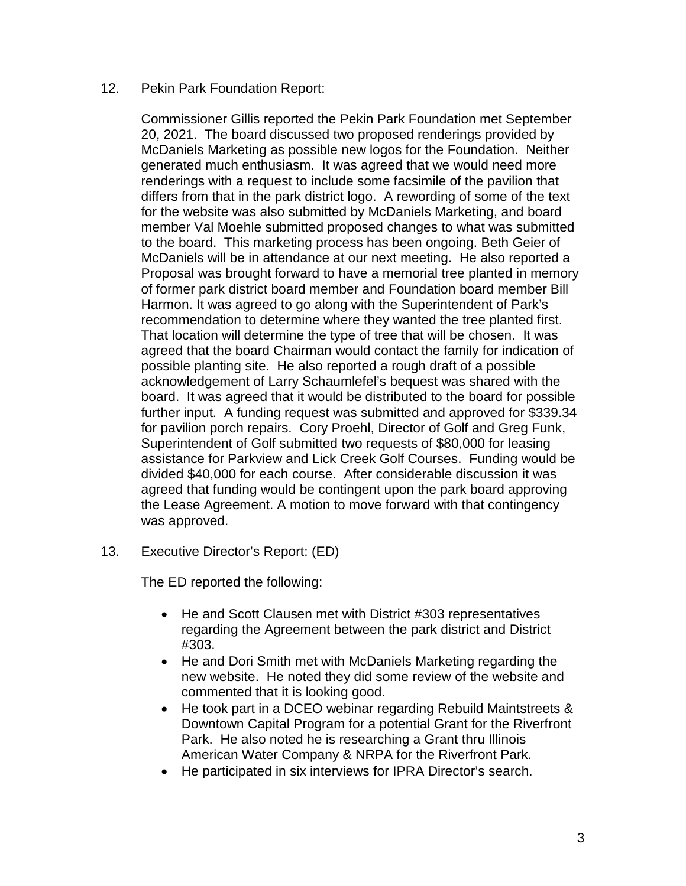### 12. Pekin Park Foundation Report:

Commissioner Gillis reported the Pekin Park Foundation met September 20, 2021. The board discussed two proposed renderings provided by McDaniels Marketing as possible new logos for the Foundation. Neither generated much enthusiasm. It was agreed that we would need more renderings with a request to include some facsimile of the pavilion that differs from that in the park district logo. A rewording of some of the text for the website was also submitted by McDaniels Marketing, and board member Val Moehle submitted proposed changes to what was submitted to the board. This marketing process has been ongoing. Beth Geier of McDaniels will be in attendance at our next meeting. He also reported a Proposal was brought forward to have a memorial tree planted in memory of former park district board member and Foundation board member Bill Harmon. It was agreed to go along with the Superintendent of Park's recommendation to determine where they wanted the tree planted first. That location will determine the type of tree that will be chosen. It was agreed that the board Chairman would contact the family for indication of possible planting site. He also reported a rough draft of a possible acknowledgement of Larry Schaumlefel's bequest was shared with the board. It was agreed that it would be distributed to the board for possible further input. A funding request was submitted and approved for \$339.34 for pavilion porch repairs. Cory Proehl, Director of Golf and Greg Funk, Superintendent of Golf submitted two requests of \$80,000 for leasing assistance for Parkview and Lick Creek Golf Courses. Funding would be divided \$40,000 for each course. After considerable discussion it was agreed that funding would be contingent upon the park board approving the Lease Agreement. A motion to move forward with that contingency was approved.

13. Executive Director's Report: (ED)

The ED reported the following:

- He and Scott Clausen met with District #303 representatives regarding the Agreement between the park district and District #303.
- He and Dori Smith met with McDaniels Marketing regarding the new website. He noted they did some review of the website and commented that it is looking good.
- He took part in a DCEO webinar regarding Rebuild Maintstreets & Downtown Capital Program for a potential Grant for the Riverfront Park. He also noted he is researching a Grant thru Illinois American Water Company & NRPA for the Riverfront Park.
- He participated in six interviews for IPRA Director's search.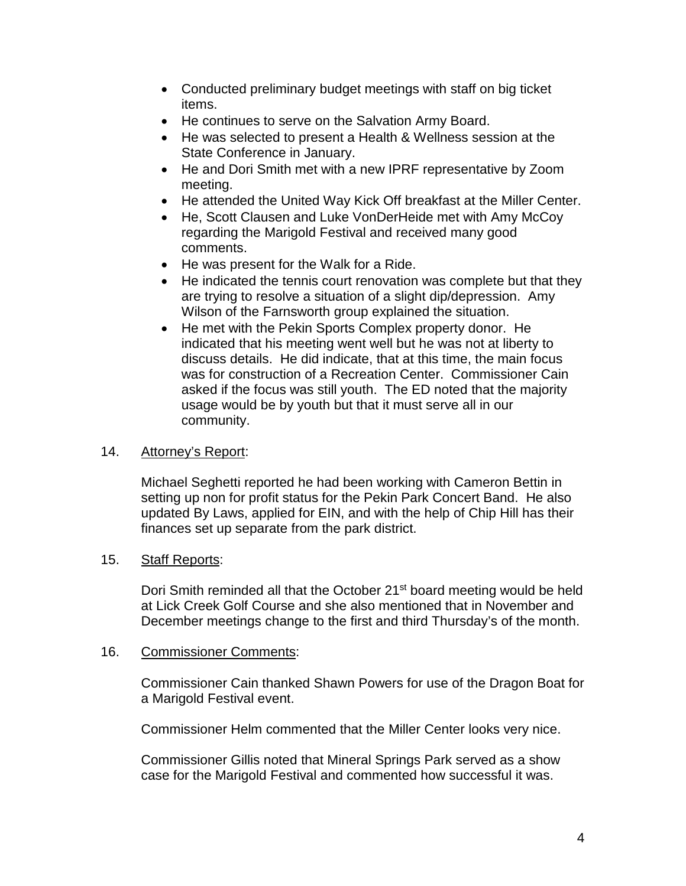- Conducted preliminary budget meetings with staff on big ticket items.
- He continues to serve on the Salvation Army Board.
- He was selected to present a Health & Wellness session at the State Conference in January.
- He and Dori Smith met with a new IPRF representative by Zoom meeting.
- He attended the United Way Kick Off breakfast at the Miller Center.
- He, Scott Clausen and Luke VonDerHeide met with Amy McCoy regarding the Marigold Festival and received many good comments.
- He was present for the Walk for a Ride.
- He indicated the tennis court renovation was complete but that they are trying to resolve a situation of a slight dip/depression. Amy Wilson of the Farnsworth group explained the situation.
- He met with the Pekin Sports Complex property donor. He indicated that his meeting went well but he was not at liberty to discuss details. He did indicate, that at this time, the main focus was for construction of a Recreation Center. Commissioner Cain asked if the focus was still youth. The ED noted that the majority usage would be by youth but that it must serve all in our community.

# 14. Attorney's Report:

Michael Seghetti reported he had been working with Cameron Bettin in setting up non for profit status for the Pekin Park Concert Band. He also updated By Laws, applied for EIN, and with the help of Chip Hill has their finances set up separate from the park district.

# 15. Staff Reports:

Dori Smith reminded all that the October 21<sup>st</sup> board meeting would be held at Lick Creek Golf Course and she also mentioned that in November and December meetings change to the first and third Thursday's of the month.

### 16. Commissioner Comments:

Commissioner Cain thanked Shawn Powers for use of the Dragon Boat for a Marigold Festival event.

Commissioner Helm commented that the Miller Center looks very nice.

Commissioner Gillis noted that Mineral Springs Park served as a show case for the Marigold Festival and commented how successful it was.